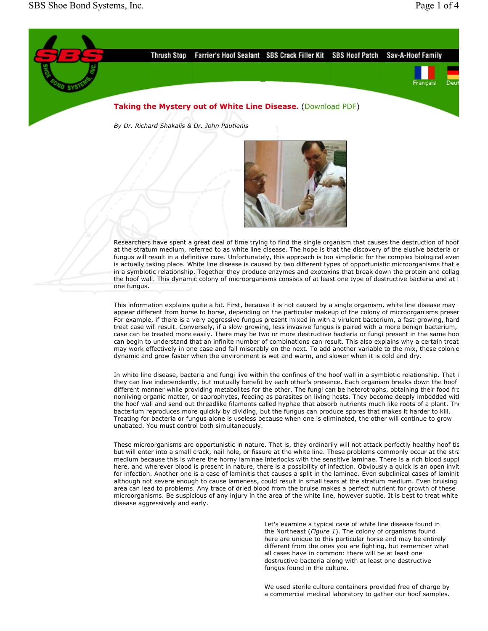

can begin to understand that an infinite number of combinations can result. This also explains why a certain treat may work effectively in one case and fail miserably on the next. To add another variable to the mix, these colonie dynamic and grow faster when the environment is wet and warm, and slower when it is cold and dry. In white line disease, bacteria and fungi live within the confines of the hoof wall in a symbiotic relationship. That i they can live independently, but mutually benefit by each other's presence. Each organism breaks down the hoof

different manner while providing metabolites for the other. The fungi can be heterotrophs, obtaining their food fro nonliving organic matter, or saprophytes, feeding as parasites on living hosts. They become deeply imbedded with the hoof wall and send out threadlike filaments called hyphae that absorb nutrients much like roots of a plant. The bacterium reproduces more quickly by dividing, but the fungus can produce spores that makes it harder to kill. Treating for bacteria or fungus alone is useless because when one is eliminated, the other will continue to grow unabated. You must control both simultaneously.

These microorganisms are opportunistic in nature. That is, they ordinarily will not attack perfectly healthy hoof tis but will enter into a small crack, nail hole, or fissure at the white line. These problems commonly occur at the stra medium because this is where the horny laminae interlocks with the sensitive laminae. There is a rich blood suppl here, and wherever blood is present in nature, there is a possibility of infection. Obviously a quick is an open invit for infection. Another one is a case of laminitis that causes a split in the laminae. Even subclinical cases of laminit although not severe enough to cause lameness, could result in small tears at the stratum medium. Even bruising area can lead to problems. Any trace of dried blood from the bruise makes a perfect nutrient for growth of these microorganisms. Be suspicious of any injury in the area of the white line, however subtle. It is best to treat white disease aggressively and early.

> Let's examine a typical case of white line disease found in the Northeast (*Figure 1*). The colony of organisms found here are unique to this particular horse and may be entirely different from the ones you are fighting, but remember what all cases have in common: there will be at least one destructive bacteria along with at least one destructive fungus found in the culture.

> We used sterile culture containers provided free of charge by a commercial medical laboratory to gather our hoof samples.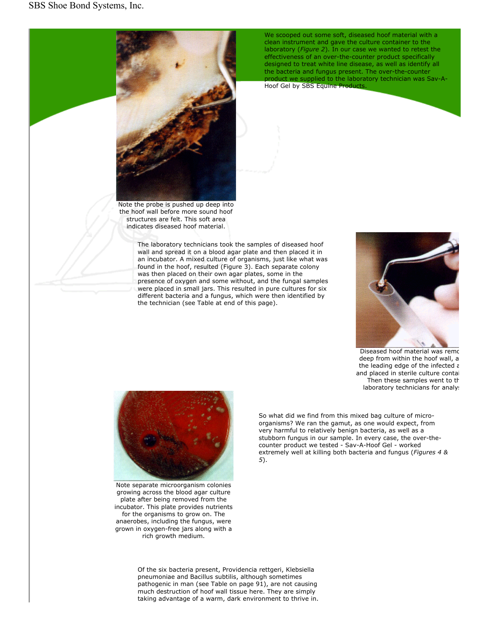

Note the probe is pushed up deep into the hoof wall before more sound hoof structures are felt. This soft area indicates diseased hoof material.

The laboratory technicians took the samples of diseased hoof wall and spread it on a blood agar plate and then placed it in an incubator. A mixed culture of organisms, just like what was found in the hoof, resulted (Figure 3). Each separate colony was then placed on their own agar plates, some in the presence of oxygen and some without, and the fungal samples were placed in small jars. This resulted in pure cultures for six different bacteria and a fungus, which were then identified by the technician (see Table at end of this page).

We scooped out some soft, diseased hoof material with a clean instrument and gave the culture container to the laboratory (*Figure 2*). In our case we wanted to retest the effectiveness of an over-the-counter product specifically designed to treat white line disease, as well as identify all the bacteria and fungus present. The over-the-counter product we supplied to the laboratory technician was Sav-A-

Hoof Gel by SBS Equine Products.



Diseased hoof material was remo deep from within the hoof wall, a the leading edge of the infected a and placed in sterile culture contai Then these samples went to th laboratory technicians for analys



Note separate microorganism colonies growing across the blood agar culture plate after being removed from the incubator. This plate provides nutrients for the organisms to grow on. The anaerobes, including the fungus, were grown in oxygen-free jars along with a rich growth medium.

So what did we find from this mixed bag culture of microorganisms? We ran the gamut, as one would expect, from very harmful to relatively benign bacteria, as well as a stubborn fungus in our sample. In every case, the over-thecounter product we tested - Sav-A-Hoof Gel - worked extremely well at killing both bacteria and fungus (*Figures 4 & 5*).

Of the six bacteria present, Providencia rettgeri, Klebsiella pneumoniae and Bacillus subtilis, although sometimes pathogenic in man (see Table on page 91), are not causing much destruction of hoof wall tissue here. They are simply taking advantage of a warm, dark environment to thrive in.